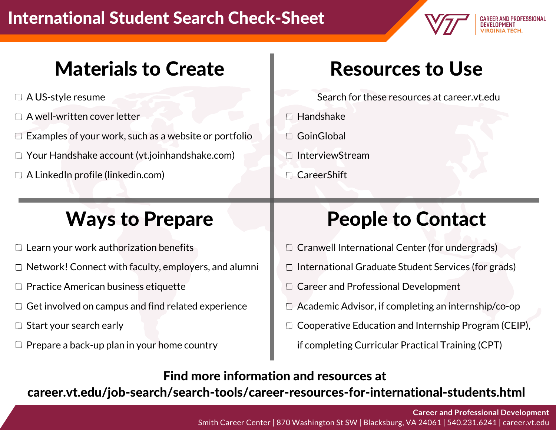#### International Student Search Check-Sheet



#### Materials to Create

- □ A US-style resume
- $\Box$  A well-written cover letter
- $\Box$  Examples of your work, such as a website or portfolio
- □ Your Handshake account (vt.joinhandshake.com)
- $\Box$  A LinkedIn profile (linkedin.com)

#### Ways to Prepare

- $\Box$  Learn your work authorization benefits
- $\Box$  Network! Connect with faculty, employers, and alumni
- $\Box$  Practice American business etiquette
- $\Box$  Get involved on campus and find related experience
- $\Box$  Start your search early
- $\Box$  Prepare a back-up plan in your home country

# Resources to Use

Search for these resources at career.vt.edu

- **□ Handshake**
- □ GoinGlobal
- □ InterviewStream
- □ CareerShift

# People to Contact

- $\Box$  Cranwell International Center (for undergrads)
- $\Box$  International Graduate Student Services (for grads)
- □ Career and Professional Development
- $\Box$  Academic Advisor, if completing an internship/co-op
- Cooperative Education and Internship Program (CEIP),

if completing Curricular Practical Training (CPT)

Find more information and resources at

career.vt.edu/job-search/search-tools/career-resources-for-international-students.html

**Career and Professional Development** Smith Career Center | 870 Washington St SW |Blacksburg, VA 24061 | 540.231.6241 | career.vt.edu